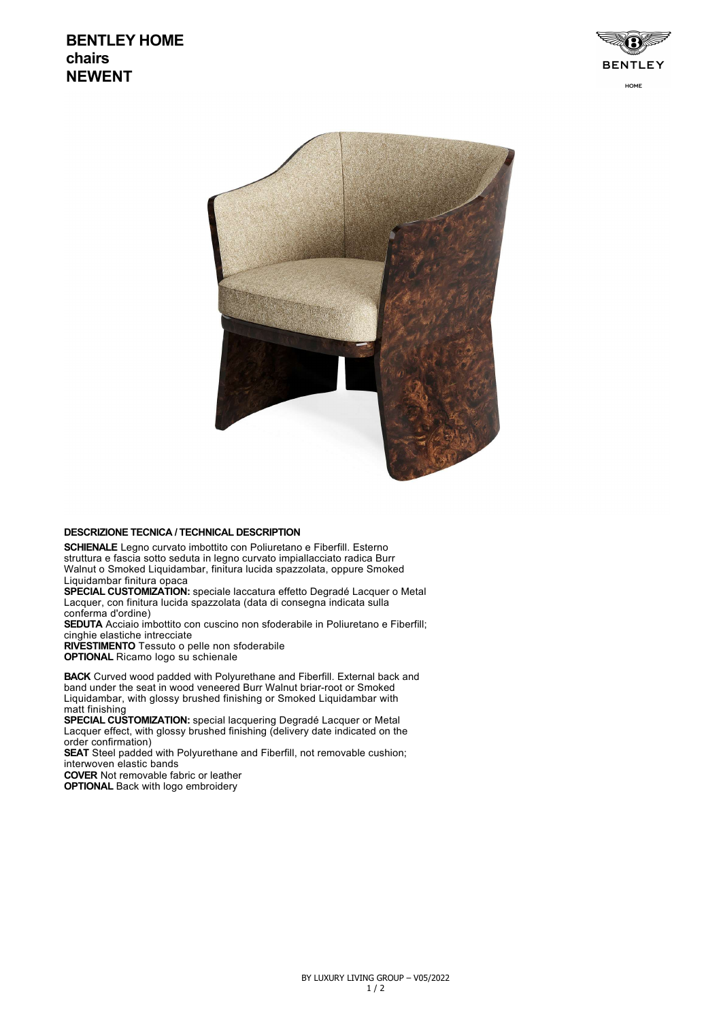## **BENTLEY HOME chairs NEWENT**





## **DESCRIZIONE TECNICA / TECHNICAL DESCRIPTION**

**SCHIENALE** Legno curvato imbottito con Poliuretano e Fiberfill. Esterno struttura e fascia sotto seduta in legno curvato impiallacciato radica Burr Walnut o Smoked Liquidambar, finitura lucida spazzolata, oppure Smoked Liquidambar finitura opaca

**SPECIAL CUSTOMIZATION:** speciale laccatura effetto Degradé Lacquer o Metal Lacquer, con finitura lucida spazzolata (data di consegna indicata sulla conferma d'ordine)

**SEDUTA** Acciaio imbottito con cuscino non sfoderabile in Poliuretano e Fiberfill; cinghie elastiche intrecciate

**RIVESTIMENTO** Tessuto o pelle non sfoderabile **OPTIONAL** Ricamo logo su schienale

**BACK** Curved wood padded with Polyurethane and Fiberfill. External back and band under the seat in wood veneered Burr Walnut briar-root or Smoked Liquidambar, with glossy brushed finishing or Smoked Liquidambar with matt finishing

**SPECIAL CUSTOMIZATION:** special lacquering Degradé Lacquer or Metal Lacquer effect, with glossy brushed finishing (delivery date indicated on the order confirmation)

**SEAT** Steel padded with Polyurethane and Fiberfill, not removable cushion; interwoven elastic bands

**COVER** Not removable fabric or leather **OPTIONAL Back with logo embroidery**